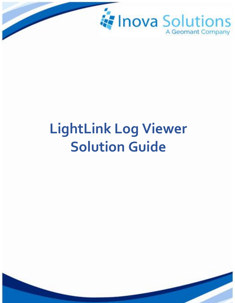

# **LightLink Log Viewer Solution Guide**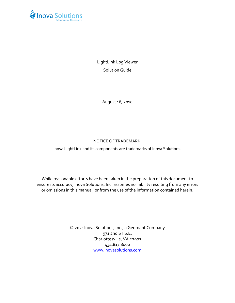

LightLink Log Viewer Solution Guide

August 16, 2010

#### NOTICE OF TRADEMARK:

Inova LightLink and its components are trademarks of Inova Solutions.

While reasonable efforts have been taken in the preparation of this document to ensure its accuracy, Inova Solutions, Inc. assumes no liability resulting from any errors or omissions in this manual, or from the use of the information contained herein.

> © 2021 Inova Solutions, Inc., a Geomant Company 971 2nd ST S.E. Charlottesville, VA 22902 434.817.8000 [www.inovasolutions.com](http://www.inovasolutions.com/)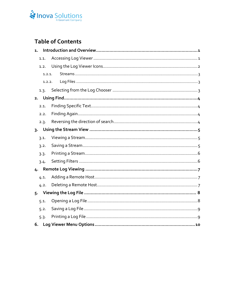## Inova Solutions

## **Table of Contents**

| $\mathbf{1}$ . |        |  |  |  |
|----------------|--------|--|--|--|
|                | 1.1.   |  |  |  |
|                | 1.2.   |  |  |  |
|                | 1.2.1. |  |  |  |
|                | 1.2.2. |  |  |  |
|                | 1.3.   |  |  |  |
| 2.             |        |  |  |  |
|                | 2.1.   |  |  |  |
|                | 2.2.   |  |  |  |
|                | 2.3.   |  |  |  |
|                |        |  |  |  |
|                | 3.1.   |  |  |  |
|                | 3.2.   |  |  |  |
|                | 3.3.   |  |  |  |
|                | 3.4.   |  |  |  |
|                |        |  |  |  |
|                | 4.1.   |  |  |  |
|                | 4.2.   |  |  |  |
|                |        |  |  |  |
|                | 5.1.   |  |  |  |
|                | 5.2.   |  |  |  |
|                | 5.3.   |  |  |  |
| 6.             |        |  |  |  |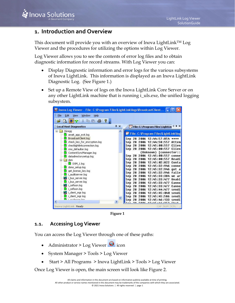## <span id="page-3-0"></span>**1. Introduction and Overview**

This document will provide you with an overview of Inova LightLink<sup>TM</sup> Log Viewer and the procedures for utilizing the options within Log Viewer.

Log Viewer allows you to see the contents of error log files and to obtain diagnostic information for record streams. With Log Viewer you can:

- Display Diagnostic information and error logs for the various subsystems of Inova LightLink. This information is displayed as an Inova LightLink Diagnostic Log. (See [Figure 1.](#page-3-2))
- Set up a Remote View of logs on the Inova LightLink Core Server or on any other LightLink machine that is running i\_uls.exe, the unified logging subsystem.

| C. Inova Log Viewer - File: C: \Program Files\LightLink\logs\BroadcastClient |            |                                                 |  |
|------------------------------------------------------------------------------|------------|-------------------------------------------------|--|
| File<br>Edit<br>Window<br>Help<br>View                                       |            |                                                 |  |
| X.<br>电偏凸<br>œ<br>R                                                          |            |                                                 |  |
| <b>Local Host Diagnostics</b>                                                | $4 \times$ | $4$ $\times$<br>File: C:\Program Files\LightLin |  |
| <b>JGregg</b><br>⊟<br>await app exit.log                                     |            | File: C: \Program Files\LightLink\log           |  |
| BroadcastClient.log                                                          |            | Sep<br>12:44:57:854 ****<br>28<br>2006          |  |
| check_key_for_encryption.log                                                 |            | Sep<br>28<br>2006<br>12:44:58:557<br>Attem      |  |
| checklightlinkconnection.log                                                 |            | Clien<br>Sep<br>12:45:00:557<br>28<br>2006      |  |
| cms_defaulter.log                                                            |            | :45:00:557 Clien<br>Sep<br>28<br>2006           |  |
| ContentSyncManager.log                                                       |            | [connector::<br>{Unknown}                       |  |
| datadirectorysetup.log                                                       |            | Sep<br>2006<br>12-45-00-557<br>28<br>conne      |  |
| dsm                                                                          |            | Sep<br>Readi<br>28<br>2006<br>12:45:00:557      |  |
| $DSM_1, \log$                                                                |            | Sep<br>28<br>12:45:02:822<br>2006<br>Conta      |  |
| dsms_setup.log                                                               |            | Sep<br>28<br>2006<br>12:45:32:946<br>conne      |  |
| get license key.log                                                          |            | Sep<br>12:45:32:946<br>28<br>2006<br>got a      |  |
| i auditserver.log                                                            |            | Sep<br>28<br>2006<br>12:45:32:946<br>faile      |  |
| i bus server.log                                                             |            | Sep<br>12:45:33:384<br>2006<br>28<br>we ar      |  |
|                                                                              |            | Sep<br>28<br>2006<br>12:45:33:477<br>Unabl      |  |
| i_bus_server.log                                                             |            | Sep<br>28<br>2006<br>Canno<br>12:45:33:477      |  |
| i_cefloon.log                                                                |            | Sep<br>28<br>2006<br>Canno<br>- 33 - 477        |  |
| i_cefloon.log                                                                |            | Sep<br>2006<br>28<br>sendi<br>12:45:44:477      |  |
| i client mgr.log                                                             |            | Sep<br>28<br>2006<br>:45:040<br>sendi           |  |
| i_client_mgr.log                                                             |            | Sep<br>2006<br>28<br>sendi<br>12:45:45:586      |  |
| <i>i</i> conferent log                                                       |            | Seo                                             |  |
|                                                                              |            |                                                 |  |
| Inova LightLink Ready                                                        |            | CAP NUM SCRL                                    |  |

**Figure 1**

## <span id="page-3-2"></span><span id="page-3-1"></span>**1.1. Accessing Log Viewer**

You can access the Log Viewer through one of these paths:

- Administrator > Log Viewer  $\bigcirc$  icon
- System Manager > Tools > Log Viewer
- Start > All Programs > Inova LightLink > Tools > Log Viewer

Once Log Viewer is open, the main screen will look like [Figure 2.](#page-4-1)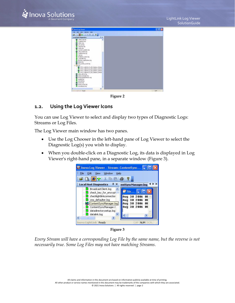

| <b>Chambles</b> Times!                                                                                                                                                                                                                                                                                                                                                                                                                                                                                                                                                                                                                                                                  |               |
|-----------------------------------------------------------------------------------------------------------------------------------------------------------------------------------------------------------------------------------------------------------------------------------------------------------------------------------------------------------------------------------------------------------------------------------------------------------------------------------------------------------------------------------------------------------------------------------------------------------------------------------------------------------------------------------------|---------------|
| the the two involve take<br>5 急 品 え<br><b>GET A BEFORE</b>                                                                                                                                                                                                                                                                                                                                                                                                                                                                                                                                                                                                                              |               |
| <b>Local Hoot Diagnostics</b><br>光光                                                                                                                                                                                                                                                                                                                                                                                                                                                                                                                                                                                                                                                     |               |
| <b>B</b> Libert Hardes<br><b>Confession Inc.</b><br><b>Ballyston B</b><br><b>DOLLARS IN 1989</b><br>I launcher kip<br><b>B</b> Lindhis kg<br>Laradott updates log<br>Title needs top<br>Lisable rights and<br>Ti akiko<br>pitches resident<br>L'ointrobe Jog<br>laindher, regetrations.log<br>B fadrin.log<br>bod initia eventing<br>1000<br><b>M</b> OCH 3 Lightink (1) ISO Displays (Sinula)<br>OOR stightink II LED Deploys (Smulk)<br>CON mightink II LED Deploys Elimin<br>OCH stightink IT LED Deplays Elincia<br>erine devou by<br>subject manager.log<br><b>Products todate Member Joe</b><br>imieds/od<br>prehabilities<br>promarillog<br>spotencevent.log<br>were durant like |               |
| e                                                                                                                                                                                                                                                                                                                                                                                                                                                                                                                                                                                                                                                                                       |               |
| <b>BURG LIGHTERS: Paids</b>                                                                                                                                                                                                                                                                                                                                                                                                                                                                                                                                                                                                                                                             | CALL BEER CO. |

**Figure 2**

#### <span id="page-4-1"></span><span id="page-4-0"></span>**1.2. Using the Log Viewer Icons**

You can use Log Viewer to select and display two types of Diagnostic Logs: Streams or Log Files.

The Log Viewer main window has two panes.

- Use the Log Chooser in the left-hand pane of Log Viewer to select the Diagnostic Log(s) you wish to display.
- When you double-click on a Diagnostic Log, its data is displayed in Log Viewer's right-hand pane, in a separate window [\(Figure 3\)](#page-4-2).



**Figure 3**

<span id="page-4-2"></span>*Every Stream will have a corresponding Log File by the same name, but the reverse is not necessarily true. Some Log Files may not have matching Streams.*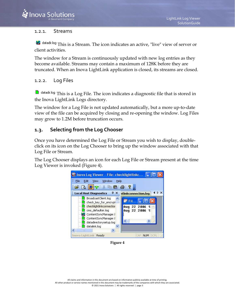#### <span id="page-5-0"></span>1.2.1. Streams

**Ex** datadir.log This is a Stream. The icon indicates an active, "live" view of server or client activities.

The window for a Stream is continuously updated with new log entries as they become available. Streams may contain a maximum of 128K before they are truncated. When an Inova LightLink application is closed, its streams are closed.

#### <span id="page-5-1"></span>1.2.2. Log Files

**T** datadir.log This is a Log File. The icon indicates a diagnostic file that is stored in the Inova LightLink Logs directory.

The window for a Log File is not updated automatically, but a more up-to-date view of the file can be acquired by closing and re-opening the window. Log Files may grow to 1.2M before truncation occurs.

### <span id="page-5-2"></span>**1.3. Selecting from the Log Chooser**

Once you have determined the Log File or Stream you wish to display, doubleclick on its icon on the Log Chooser to bring up the window associated with that Log File or Stream.

The Log Chooser displays an icon for each Log File or Stream present at the time Log Viewer is invoked [\(Figure 4\)](#page-5-3).

<span id="page-5-3"></span>

**Figure 4**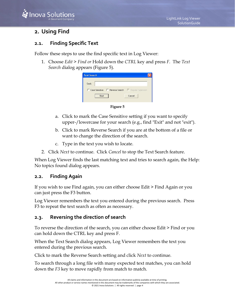## **A** Inova Solutio

## <span id="page-6-0"></span>**2. Using Find**

## <span id="page-6-1"></span>**2.1. Finding Specific Text**

Follow these steps to use the find specific text in Log Viewer:

1. Choose *Edit > Find or* Hold down the *CTRL* key and press *F.* The *Text Search* dialog appears [\(Figure 5\)](#page-6-4).

| <b>Text Search</b> |                                                        |  |
|--------------------|--------------------------------------------------------|--|
| Seek:              |                                                        |  |
|                    | □ Case Sensitive □ Reverse Search □ Requiar Expression |  |
|                    |                                                        |  |



- <span id="page-6-4"></span>a. Click to mark the Case Sensitive setting if you want to specify upper-/lowercase for your search (e.g., find "Exit" and not "exit").
- b. Click to mark Reverse Search if you are at the bottom of a file or want to change the direction of the search.
- c. Type in the text you wish to locate.
- 2. Click *Next* to continue. Click *Cancel* to stop the Text Search feature.

When Log Viewer finds the last matching text and tries to search again, the Help: No topics found dialog appears.

## <span id="page-6-2"></span>**2.2. Finding Again**

If you wish to use Find again, you can either choose Edit > Find Again or you can just press the F3 button.

Log Viewer remembers the text you entered during the previous search. Press F3 to repeat the text search as often as necessary.

## <span id="page-6-3"></span>**2.3. Reversing the direction of search**

To reverse the direction of the search, you can either choose Edit > Find or you can hold down the CTRL key and press F.

When the Text Search dialog appears, Log Viewer remembers the text you entered during the previous search.

Click to mark the Reverse Search setting and click *Next* to continue.

To search through a long file with many expected text matches, you can hold down the *F3* key to move rapidly from match to match.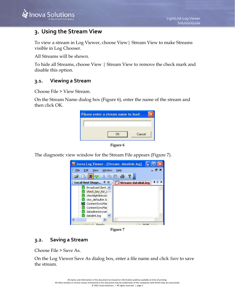## <span id="page-7-0"></span>**3. Using the Stream View**

To view a stream in Log Viewer, choose View| Stream View to make Streams visible in Log Chooser.

All Streams will be shown.

To hide all Streams, choose View | Stream View to remove the check mark and disable this option.

#### <span id="page-7-1"></span>**3.1. Viewing a Stream**

Choose File > View Stream.

On the Stream Name dialog box [\(Figure 6\)](#page-7-3), enter the name of the stream and then click OK.





<span id="page-7-3"></span>The diagnostic view window for the Stream File appears [\(Figure 7\)](#page-7-4).



**Figure 7**

#### <span id="page-7-4"></span><span id="page-7-2"></span>**3.2. Saving a Stream**

Choose File > Save As.

On the Log Viewer Save As dialog box, enter a file name and click *Save* to save the stream.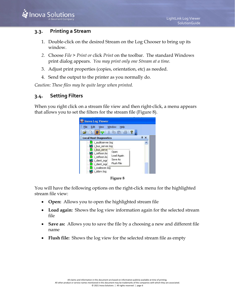#### **3.3. Printing a Stream**

- <span id="page-8-0"></span>1. Double-click on the desired Stream on the Log Chooser to bring up its window.
- *2.* Choose *File > Print or* click *Print* on the toolbar. The standard Windows print dialog appears. *You may print only one Stream at a time.*
- 3. Adjust print properties (copies, orientation, etc) as needed.
- 4. Send the output to the printer as you normally do.

*Caution: These files may be quite large when printed.*

### <span id="page-8-1"></span>**3.4. Setting Filters**

When you right click on a stream file view and then right-click, a menu appears that allows you to set the filters for the stream file [\(Figure 8\)](#page-8-2).



**Figure 8**

<span id="page-8-2"></span>You will have the following options on the right-click menu for the highlighted stream file view:

- **Open:** Allows you to open the highlighted stream file
- **Load again:** Shows the log view information again for the selected stream file
- **Save as:** Allows you to save the file by a choosing a new and different file name
- **Flush file:** Shows the log view for the selected stream file as empty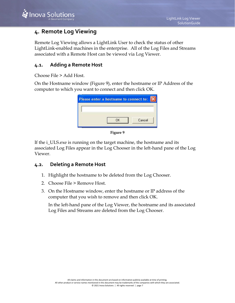## <span id="page-9-0"></span>**4. Remote Log Viewing**

Remote Log Viewing allows a LightLink User to check the status of other LightLink-enabled machines in the enterprise. All of the Log Files and Streams associated with a Remote Host can be viewed via Log Viewer.

## <span id="page-9-1"></span>**4.1. Adding a Remote Host**

Choose File > Add Host.

On the Hostname window [\(Figure 9\)](#page-9-3), enter the hostname or IP Address of the computer to which you want to connect and then click OK.

| ΠK | Cancel |
|----|--------|

**Figure 9**

<span id="page-9-3"></span>If the i\_ULS.exe is running on the target machine, the hostname and its associated Log Files appear in the Log Chooser in the left-hand pane of the Log Viewer.

#### <span id="page-9-2"></span>**4.2. Deleting a Remote Host**

- 1. Highlight the hostname to be deleted from the Log Chooser.
- 2. Choose File > Remove Host.
- 3. On the Hostname window, enter the hostname or IP address of the computer that you wish to remove and then click OK.

In the left-hand pane of the Log Viewer, the hostname and its associated Log Files and Streams are deleted from the Log Chooser.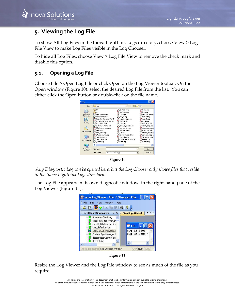## <span id="page-10-0"></span>**5. Viewing the Log File**

To show All Log Files in the Inova LightLink Logs directory, choose View > Log File View to make Log Files visible in the Log Chooser.

To hide all Log Files, choose View > Log File View to remove the check mark and disable this option.

## <span id="page-10-1"></span>**5.1. Opening a Log File**

Choose File > Open Log File or click Open on the Log Viewer toolbar. On the Open window [\(Figure 10\)](#page-10-2), select the desired Log File from the list. You can either click the Open button or double-click on the file name.



**Figure 10**

<span id="page-10-2"></span>*Any Diagnostic Log can be opened here, but the Log Chooser only shows files that reside in the Inova LightLink Logs directory.*

The Log File appears in its own diagnostic window, in the right-hand pane of the Log Viewer [\(Figure 11\)](#page-10-3).



**Figure 11**

<span id="page-10-3"></span>Resize the Log Viewer and the Log File window to see as much of the file as you require.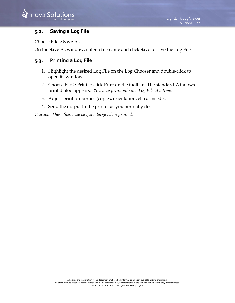#### <span id="page-11-0"></span>**5.2. Saving a Log File**

Choose File > Save As.

On the Save As window, enter a file name and click Save to save the Log File.

## <span id="page-11-1"></span>**5.3. Printing a Log File**

- 1. Highlight the desired Log File on the Log Chooser and double-click to open its window.
- *2.* Choose File > Print *or* click Print on the toolbar. The standard Windows print dialog appears. *You may print only one Log File at a time.*
- 3. Adjust print properties (copies, orientation, etc) as needed.
- 4. Send the output to the printer as you normally do.

*Caution: These files may be quite large when printed.*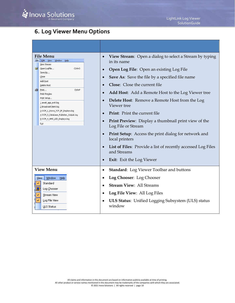## <span id="page-12-0"></span>**6. Log Viewer Menu Options**

| <b>File Menu</b><br>Edit View Window Help<br>File  <br>View Stream<br>Open LogFile<br>Ctrl+O<br>Save As<br>$\subseteq$ lose<br>Add Host<br>Delete Host<br>图 Print<br>Ctrl+P<br>Print Preview<br>Print Setup<br>1 await_app_exit.log<br>2 BroadcastClient.log<br>3 OCM_1_Inova_TCP_IP_Displays.log<br>4 OCM_5_Database_Publisher_Output.log<br>5 OCM_4_AMS_LED_Displays.log<br>Exit |                                                                                                                             | View Stream: Open a dialog to select a Stream by typing<br>$\bullet$<br>in its name<br><b>Open Log File: Open an existing Log File</b><br>$\bullet$<br><b>Save As:</b> Save the file by a specified file name<br>$\bullet$<br><b>Close:</b> Close the current file<br>$\bullet$<br><b>Add Host:</b> Add a Remote Host to the Log Viewer tree<br>$\bullet$<br><b>Delete Host:</b> Remove a Remote Host from the Log<br>$\bullet$<br>Viewer tree<br><b>Print:</b> Print the current file<br>$\bullet$<br>Print Preview: Display a thumbnail print view of the<br>$\bullet$<br>Log File or Stream<br>Print Setup: Access the print dialog for network and<br>$\bullet$<br>local printers<br>List of Files: Provide a list of recently accessed Log Files<br>$\bullet$ |
|------------------------------------------------------------------------------------------------------------------------------------------------------------------------------------------------------------------------------------------------------------------------------------------------------------------------------------------------------------------------------------|-----------------------------------------------------------------------------------------------------------------------------|--------------------------------------------------------------------------------------------------------------------------------------------------------------------------------------------------------------------------------------------------------------------------------------------------------------------------------------------------------------------------------------------------------------------------------------------------------------------------------------------------------------------------------------------------------------------------------------------------------------------------------------------------------------------------------------------------------------------------------------------------------------------|
|                                                                                                                                                                                                                                                                                                                                                                                    |                                                                                                                             | and Streams<br><b>Exit:</b> Exit the Log Viewer<br>$\bullet$                                                                                                                                                                                                                                                                                                                                                                                                                                                                                                                                                                                                                                                                                                       |
|                                                                                                                                                                                                                                                                                                                                                                                    | <b>View Menu</b><br>Window<br>Help<br>View.<br>Standard<br>Log Chooser<br>Stream View<br>Log File View<br><b>ULS Status</b> | <b>Standard:</b> Log Viewer Toolbar and buttons<br>$\bullet$<br>Log Chooser: Log Chooser<br>$\bullet$<br><b>Stream View: All Streams</b><br>$\bullet$<br>Log File View: All Log Files<br>$\bullet$<br><b>ULS Status:</b> Unified Logging Subsystem (ULS) status<br>$\bullet$<br>window                                                                                                                                                                                                                                                                                                                                                                                                                                                                             |